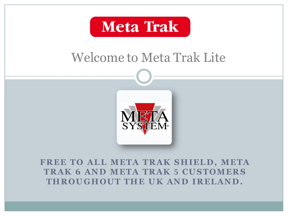

## Welcome to Meta Trak Lite



**FREE TO ALL META TRAK SHIELD, META TRAK 6 AND META TRAK 5 CUSTOMERS THROUGHOUT THE UK AND IRELAND.**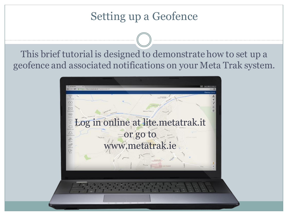## Setting up a Geofence

This brief tutorial is designed to demonstrate how to set up a geofence and associated notifications on your Meta Trak system.

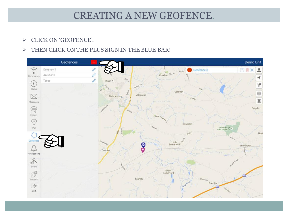### CREATING A NEW GEOFENCE.

#### $\triangleright$  CLICK ON 'GEOFENCE'.

#### $\triangleright$  THEN CLICK ON THE PLUS SIGN IN THE BLUE BAR!

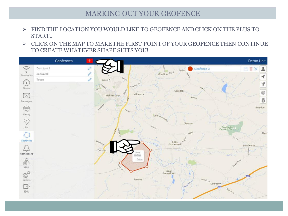#### MARKING OUT YOUR GEOFENCE

- FIND THE LOCATION YOU WOULD LIKE TO GEOFENCE AND CLICK ON THE PLUS TO START..
- $\triangleright$  CLICK ON THE MAP TO MAKE THE FIRST POINT OF YOUR GEOFENCE THEN CONTINUE TO CREATE WHATEVER SHAPE SUITS YOU!

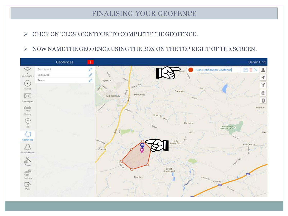#### FINALISING YOUR GEOFENCE

- $\triangleright$  CLICK ON 'CLOSE CONTOUR' TO COMPLETE THE GEOFENCE.
- $\triangleright$  NOW NAME THE GEOFENCE USING THE BOX ON THE TOP RIGHT OF THE SCREEN.

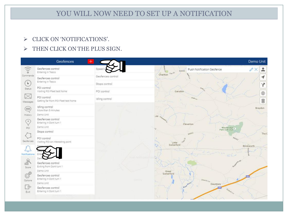#### YOU WILL NOW NEED TO SET UP A NOTIFICATION

- > CLICK ON 'NOTIFICATIONS'.
- > THEN CLICK ON THE PLUS SIGN.

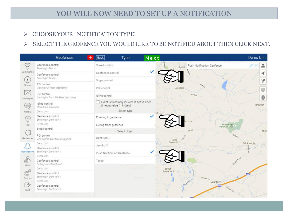#### YOU WILL NOW NEED TO SET UP A NOTIFICATION

CHOOSE YOUR 'NOTIFICATION TYPE'.

#### $\triangleright$  SELECT THE GEOFENCE YOU WOULD LIKE TO BE NOTIFIED ABOUT THEN CLICK NEXT.

|                                                                                                                   | Geofences                                                 | Back                         | Type                                                                                   | Next         |                                     |                              | Demo Unit                   |
|-------------------------------------------------------------------------------------------------------------------|-----------------------------------------------------------|------------------------------|----------------------------------------------------------------------------------------|--------------|-------------------------------------|------------------------------|-----------------------------|
| $\circ$ i)<br>Commands<br>$\sqrt{2}$<br>Status<br>$\times$<br>Messages<br>⊜<br>History.<br>C.<br>POI<br>Geofences | Geofences control<br>Entering in Tesco                    | Speed control                |                                                                                        |              | Push Notification Geofence<br>B4040 |                              | ≗<br>$\mathbb{Z} \times$    |
|                                                                                                                   | Geofences control<br>Entering in Tesco                    | Geofences control            |                                                                                        | $\checkmark$ |                                     |                              |                             |
|                                                                                                                   | POI control<br>Visiting POI Fleet test home               | Stops control<br>POI control |                                                                                        |              | Garsdon                             |                              | Ÿ<br>$\qquad \qquad \oplus$ |
|                                                                                                                   | POI control<br>Getting far from POI Fleet test home       | Idling control               |                                                                                        |              | $Pank_{Ln}$                         |                              | \$                          |
|                                                                                                                   | Idling control<br>More than 5 minutes<br>Demo Unit        |                              | Event is fixed only if Event is active after<br>timeout value (minutes)<br>Select type | ea           |                                     |                              | Braydon                     |
|                                                                                                                   | Geofences control<br>Entering in Dont turn 1              | Entering in geofence         |                                                                                        |              | erton                               |                              |                             |
|                                                                                                                   | Demo Unit<br>Stops control                                | Exiting from geofence        |                                                                                        |              |                                     | Woodbridge<br>Park Golf Club |                             |
|                                                                                                                   | POI control                                               |                              | Select object                                                                          |              | <b>BA042</b>                        | BAGAZ                        | The C                       |
|                                                                                                                   | Visiting POI An interesting point                         | Dont turn 1                  |                                                                                        |              | Little<br>Somerford                 |                              |                             |
|                                                                                                                   | Demo Unit                                                 | Jack&J1II                    |                                                                                        |              |                                     |                              | Brinkworth                  |
| $\overline{\mathcal{L}_{\mathbf{U}}}$<br>Notifications<br>.R<br>Score<br>3<br>Options<br>$\Rightarrow$<br>Exit    | Geofences control<br>Entering in Dont turn 1<br>Demo Unit | Push Notification Geofence   |                                                                                        |              |                                     | Samon 10                     |                             |
|                                                                                                                   | Geofences control<br>Exiting from Dont turn 1             | Tesco                        |                                                                                        |              |                                     |                              |                             |
|                                                                                                                   | Demo Unit                                                 |                              |                                                                                        |              | Great<br>Somerford                  |                              |                             |
|                                                                                                                   | Geofences control<br>Entering in Dont turn 1<br>Demo Unit |                              | Streum.                                                                                |              | Church Ln                           | Dauntsey                     |                             |
|                                                                                                                   | Geofences control<br>Entering in Dont turn 1              |                              |                                                                                        |              |                                     | <b>TITLE</b><br>Sodom Ln     |                             |
|                                                                                                                   |                                                           |                              |                                                                                        |              |                                     |                              |                             |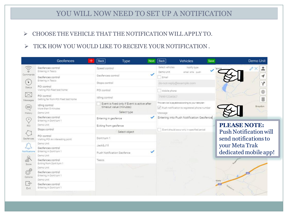#### YOU WILL NOW NEED TO SET UP A NOTIFICATION

- CHOOSE THE VEHICLE THAT THE NOTIFICATION WILL APPLY TO.
- $\triangleright$  TICK HOW YOU WOULD LIKE TO RECEIVE YOUR NOTIFICATION.

|                                                                                                                                 | Geofences                                                                             | Back                                                                                   | Type | Next | Back                                                                                                           | <b>Vehicles</b>                             | Save         | Demo Unit                     |  |  |
|---------------------------------------------------------------------------------------------------------------------------------|---------------------------------------------------------------------------------------|----------------------------------------------------------------------------------------|------|------|----------------------------------------------------------------------------------------------------------------|---------------------------------------------|--------------|-------------------------------|--|--|
| $\frac{1}{2}$<br>Commands<br>$\overline{ }$<br>Status<br>$\bowtie$<br>Messages<br>$\left( \right)$<br>History<br>$\circ$<br>POI | Geofences control<br>Entering in Tesco                                                | Speed control                                                                          |      |      | Select vehicles<br>Demo Unit                                                                                   | Notify type<br>email sms push               |              | ditto.                        |  |  |
|                                                                                                                                 | Geofences control<br>Entering in Tesco<br>POI control<br>Visiting POI Fleet test home | Geofences control<br>Stops control                                                     |      |      | Email                                                                                                          |                                             |              |                               |  |  |
|                                                                                                                                 |                                                                                       |                                                                                        |      |      |                                                                                                                | do-not-reply@example.com                    |              |                               |  |  |
|                                                                                                                                 |                                                                                       | POI control                                                                            |      |      | Mobile phone                                                                                                   |                                             |              | $\qquad \qquad \oplus$        |  |  |
|                                                                                                                                 | POI control<br>Getting far from POI Fleet test home                                   | Idling control                                                                         |      |      | 79991234567                                                                                                    |                                             |              | 8                             |  |  |
|                                                                                                                                 | Idling control<br>More than 5 minutes<br>Demo Unit                                    | Event is fixed only if Event is active after<br>timeout value (minutes)<br>Select type |      |      | This service is payable according to your rate plan<br>Push notification to registered phone number<br>Message |                                             |              | Braydon                       |  |  |
|                                                                                                                                 | Geofences control<br>Entering in Dont turn 1                                          | Entering in geofence                                                                   |      |      | Entering into Push Notification Geofence                                                                       |                                             |              |                               |  |  |
|                                                                                                                                 | Demo Unit                                                                             | Exiting from geofence<br>Select object                                                 |      |      |                                                                                                                |                                             |              | <b>PLEASE NOTE:</b>           |  |  |
|                                                                                                                                 | Stops control                                                                         |                                                                                        |      |      |                                                                                                                | Event should occur only in specified period |              | <b>Push Notification will</b> |  |  |
| Geofences                                                                                                                       | POI control<br>Visiting POI An interesting point                                      | Dont turn 1                                                                            |      |      |                                                                                                                |                                             |              | send notifications to         |  |  |
|                                                                                                                                 | Demo Unit                                                                             | Jack&J1II                                                                              |      |      |                                                                                                                |                                             |              | your Meta Trak                |  |  |
| <b>Congress</b><br>Notifications<br>di.<br>Score<br>0<br>Options                                                                | Geofences control<br>Entering in Dont turn 1<br>Demo Unit                             | Push Notification Geofence                                                             |      | ✓    |                                                                                                                |                                             |              | dedicated mobile app!         |  |  |
|                                                                                                                                 | Geofences control<br>Exiting from Dont turn 1                                         | Tesco                                                                                  |      |      |                                                                                                                |                                             |              |                               |  |  |
|                                                                                                                                 | Demo Unit                                                                             | Strening                                                                               |      |      | <b>Christi</b>                                                                                                 |                                             |              |                               |  |  |
|                                                                                                                                 | Geofences control<br>Entering in Dont turn 1<br>Demo Unit                             |                                                                                        |      |      |                                                                                                                |                                             |              |                               |  |  |
| $\Rightarrow$<br>Exit                                                                                                           | Geofences control<br>Entering in Dont turn 1                                          |                                                                                        |      |      |                                                                                                                |                                             | <b>itsey</b> |                               |  |  |
|                                                                                                                                 |                                                                                       |                                                                                        |      |      |                                                                                                                |                                             |              |                               |  |  |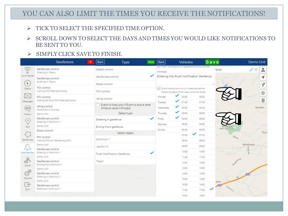#### YOU CAN ALSO LIMIT THE TIMES YOU RECEIVE THE NOTIFICATIONS!

- $\triangleright$  TICK TO SELECT THE SPECIFIED TIME OPTION.
- $\triangleright$  SCROLL DOWN TO SELECT THE DAYS AND TIMES YOU WOULD LIKE NOTIFICATIONS TO BE SENT TO YOU.
- $\triangleright$  SIMPLY CLICK SAVE TO FINISH.

|                                                                                             | <b>Geofences</b>                                           | Back                 | Type                                         | Next | Back                                                      | <b>Vehicles</b>                                                                            | Save              | Demo Unit                                                                                                                                                                                                                                                                                                                                                                                                                      |  |  |
|---------------------------------------------------------------------------------------------|------------------------------------------------------------|----------------------|----------------------------------------------|------|-----------------------------------------------------------|--------------------------------------------------------------------------------------------|-------------------|--------------------------------------------------------------------------------------------------------------------------------------------------------------------------------------------------------------------------------------------------------------------------------------------------------------------------------------------------------------------------------------------------------------------------------|--|--|
| $\circ$ i)<br>Commands<br>$\left( \frac{1}{2} \right)$<br>Status                            | Geofences control<br>Entering in Tesco                     | Speed control        |                                              |      | V Push notification to registered phone number<br>Message |                                                                                            | 'ence             | ≗<br>$\mathscr{O}\times$                                                                                                                                                                                                                                                                                                                                                                                                       |  |  |
|                                                                                             | Geofences control                                          | Geofences control    |                                              | ✓    | Entering into Push Notification Geofence                  | ◀                                                                                          |                   |                                                                                                                                                                                                                                                                                                                                                                                                                                |  |  |
|                                                                                             | Entering in Tesco                                          |                      | Stops control                                |      |                                                           |                                                                                            |                   |                                                                                                                                                                                                                                                                                                                                                                                                                                |  |  |
|                                                                                             | POI control<br>Visiting POI Fleet test home                | POI control          |                                              |      |                                                           | Event should occur only in specified period<br>Select the days of the week, and time range |                   | Ÿ<br>⊕                                                                                                                                                                                                                                                                                                                                                                                                                         |  |  |
| $\times$<br>Messages                                                                        | POI control<br>Getting far from POI Fleet test home        | Idling control       |                                              |      | Monday.                                                   | 00:00                                                                                      | 00:00             | $\mathbf{g}% _{T}=\mathbf{g}_{T}+\mathbf{g}_{T}+\mathbf{g}_{T}+\mathbf{g}_{T}+\mathbf{g}_{T}+\mathbf{g}_{T}+\mathbf{g}_{T}+\mathbf{g}_{T}+\mathbf{g}_{T}+\mathbf{g}_{T}+\mathbf{g}_{T}+\mathbf{g}_{T}+\mathbf{g}_{T}+\mathbf{g}_{T}+\mathbf{g}_{T}+\mathbf{g}_{T}+\mathbf{g}_{T}+\mathbf{g}_{T}+\mathbf{g}_{T}+\mathbf{g}_{T}+\mathbf{g}_{T}+\mathbf{g}_{T}+\mathbf{g}_{T}+\mathbf{g}_{T}+\mathbf{g}_{T}+\mathbf{g}_{T}+\math$ |  |  |
|                                                                                             | Idling control                                             |                      | Event is fixed only if Event is active after |      | Tuesday<br>Wednesday                                      | 01:00<br>✓<br>02:00                                                                        | 01:00<br>02:00    | Braydon                                                                                                                                                                                                                                                                                                                                                                                                                        |  |  |
| ⊜<br>History.                                                                               | More than 5 minutes<br>Demo Unit                           |                      | timeout value (minutes)<br>Select type       |      | Thursday                                                  | 03:00                                                                                      | 03:00             |                                                                                                                                                                                                                                                                                                                                                                                                                                |  |  |
| (°<br>POI<br>Geofences                                                                      | Geofences control<br>Entering in Dont turn 1<br>Demo Unit  | Entering in geofence |                                              | ✓    | Friday                                                    | ✓<br>0400                                                                                  | 04:00             |                                                                                                                                                                                                                                                                                                                                                                                                                                |  |  |
|                                                                                             |                                                            |                      | Exiting from geofence                        |      | Saturday                                                  | 05:00                                                                                      | 05:00             |                                                                                                                                                                                                                                                                                                                                                                                                                                |  |  |
|                                                                                             | Stops control                                              |                      |                                              |      | Sunday                                                    | 06:00                                                                                      | 06:00             | Woodbridge<br>Park Golf Club<br>The C                                                                                                                                                                                                                                                                                                                                                                                          |  |  |
|                                                                                             | POI control<br>Visiting POI An interesting point           |                      | Select object                                |      |                                                           | 07:00                                                                                      | 07:00             | BAGAZ                                                                                                                                                                                                                                                                                                                                                                                                                          |  |  |
|                                                                                             |                                                            | Dont turn 1          |                                              |      |                                                           | 08:00                                                                                      | 08:00             |                                                                                                                                                                                                                                                                                                                                                                                                                                |  |  |
|                                                                                             | Demo Unit                                                  | Jack&J1II            |                                              |      |                                                           | 09:00                                                                                      | 09:00             | Brinkworth                                                                                                                                                                                                                                                                                                                                                                                                                     |  |  |
| Congregati<br>Notifications<br>. R<br>Score<br>6<br>Options<br>$\bigoplus_{i=1}^n$<br>Exit. | Geofences control<br>Entering in Dont turn 1<br>Demo Unit  |                      | Push Notification Geofence                   |      |                                                           | 10:00                                                                                      | 10.00<br>$16 - 1$ | <b>Company</b>                                                                                                                                                                                                                                                                                                                                                                                                                 |  |  |
|                                                                                             |                                                            |                      |                                              |      |                                                           | 11:00                                                                                      | 11:00             |                                                                                                                                                                                                                                                                                                                                                                                                                                |  |  |
|                                                                                             | Geofences control<br>Exiting from Dont turn 1<br>Demo Unit | Tesco                |                                              |      |                                                           | 12:00                                                                                      | 12:00             |                                                                                                                                                                                                                                                                                                                                                                                                                                |  |  |
|                                                                                             |                                                            |                      |                                              |      |                                                           | 13:00                                                                                      | 13:00             |                                                                                                                                                                                                                                                                                                                                                                                                                                |  |  |
|                                                                                             | Geofences control                                          |                      |                                              |      |                                                           | 14:00                                                                                      | 14:00             |                                                                                                                                                                                                                                                                                                                                                                                                                                |  |  |
|                                                                                             | Entering in Dont turn 1<br>Demo Unit                       |                      | sternev                                      |      |                                                           | 15:00                                                                                      | 15:00<br>itsey    |                                                                                                                                                                                                                                                                                                                                                                                                                                |  |  |
|                                                                                             | Geofences control                                          |                      |                                              |      |                                                           | 16.00                                                                                      | 16:00<br>m        |                                                                                                                                                                                                                                                                                                                                                                                                                                |  |  |
|                                                                                             | Entering in Dont turn 1                                    |                      |                                              |      |                                                           | 17:00                                                                                      | 17:00             | Sodom Ln                                                                                                                                                                                                                                                                                                                                                                                                                       |  |  |
|                                                                                             |                                                            |                      |                                              |      |                                                           | 18:00                                                                                      | 18:00             |                                                                                                                                                                                                                                                                                                                                                                                                                                |  |  |